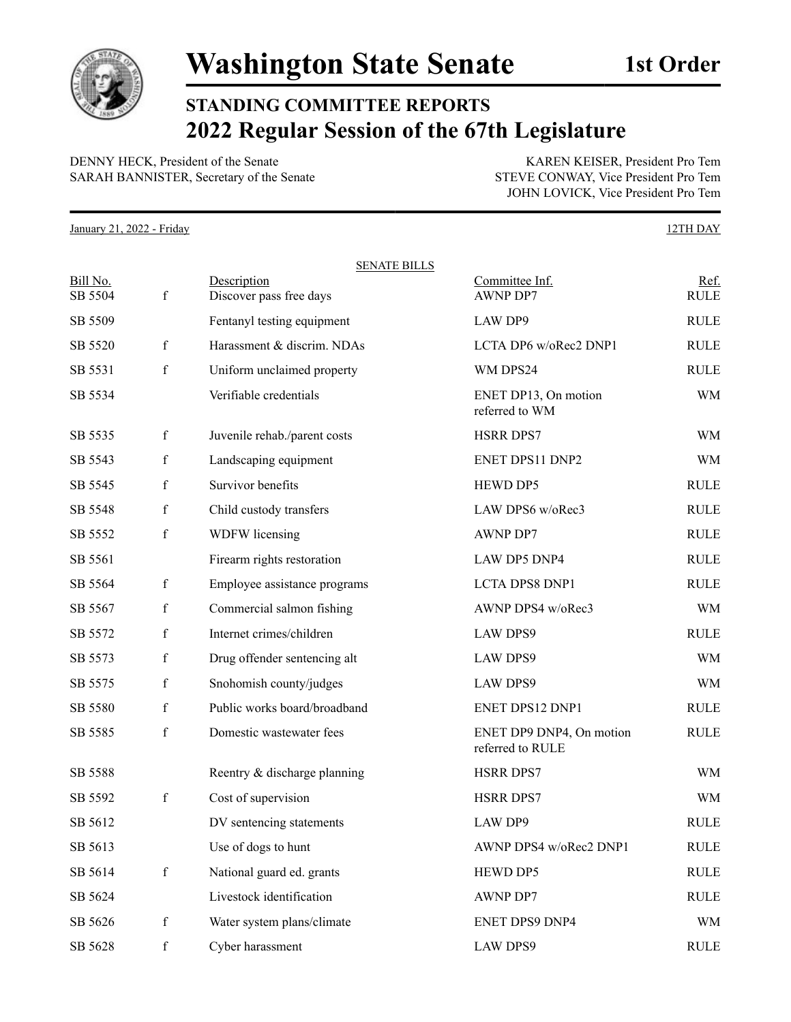

**STANDING COMMITTEE REPORTS 2022 Regular Session of the 67th Legislature**

DENNY HECK, President of the Senate KAREN KEISER, President Pro Tem SARAH BANNISTER, Secretary of the Senate STEVE CONWAY, Vice President Pro Tem

JOHN LOVICK, Vice President Pro Tem

January 21, 2022 - Friday 12TH DAY

|                     |              | <b>SENATE BILLS</b>                    |                                              |                     |
|---------------------|--------------|----------------------------------------|----------------------------------------------|---------------------|
| Bill No.<br>SB 5504 | $\mathbf f$  | Description<br>Discover pass free days | Committee Inf.<br><b>AWNP DP7</b>            | Ref.<br><b>RULE</b> |
| SB 5509             |              | Fentanyl testing equipment             | LAW DP9                                      | <b>RULE</b>         |
| SB 5520             | $\mathbf f$  | Harassment & discrim. NDAs             | LCTA DP6 w/oRec2 DNP1                        | <b>RULE</b>         |
| SB 5531             | $\mathbf f$  | Uniform unclaimed property             | WM DPS24                                     | <b>RULE</b>         |
| SB 5534             |              | Verifiable credentials                 | ENET DP13, On motion<br>referred to WM       | WM                  |
| SB 5535             | $\mathbf{f}$ | Juvenile rehab./parent costs           | <b>HSRR DPS7</b>                             | WM                  |
| SB 5543             | $\mathbf f$  | Landscaping equipment                  | ENET DPS11 DNP2                              | <b>WM</b>           |
| SB 5545             | $\mathbf f$  | Survivor benefits                      | HEWD DP5                                     | <b>RULE</b>         |
| SB 5548             | $\mathbf f$  | Child custody transfers                | LAW DPS6 w/oRec3                             | <b>RULE</b>         |
| SB 5552             | $\mathbf f$  | WDFW licensing                         | <b>AWNP DP7</b>                              | <b>RULE</b>         |
| SB 5561             |              | Firearm rights restoration             | LAW DP5 DNP4                                 | <b>RULE</b>         |
| SB 5564             | $\mathbf f$  | Employee assistance programs           | <b>LCTA DPS8 DNP1</b>                        | <b>RULE</b>         |
| SB 5567             | $\mathbf f$  | Commercial salmon fishing              | AWNP DPS4 w/oRec3                            | WM                  |
| SB 5572             | $\mathbf f$  | Internet crimes/children               | <b>LAW DPS9</b>                              | <b>RULE</b>         |
| SB 5573             | $\mathbf f$  | Drug offender sentencing alt           | <b>LAW DPS9</b>                              | WM                  |
| SB 5575             | $\mathbf f$  | Snohomish county/judges                | <b>LAW DPS9</b>                              | WM                  |
| SB 5580             | $\mathbf f$  | Public works board/broadband           | ENET DPS12 DNP1                              | <b>RULE</b>         |
| SB 5585             | $\mathbf f$  | Domestic wastewater fees               | ENET DP9 DNP4, On motion<br>referred to RULE | <b>RULE</b>         |
| SB 5588             |              | Reentry & discharge planning           | <b>HSRR DPS7</b>                             | WM                  |
| SB 5592             | $\mathbf f$  | Cost of supervision                    | <b>HSRR DPS7</b>                             | WM                  |
| SB 5612             |              | DV sentencing statements               | LAW DP9                                      | <b>RULE</b>         |
| SB 5613             |              | Use of dogs to hunt                    | AWNP DPS4 w/oRec2 DNP1                       | RULE                |
| SB 5614             | $\mathbf f$  | National guard ed. grants              | HEWD DP5                                     | <b>RULE</b>         |
| SB 5624             |              | Livestock identification               | AWNP DP7                                     | RULE                |
| SB 5626             | $\mathbf f$  | Water system plans/climate             | ENET DPS9 DNP4                               | WM                  |
| SB 5628             | $\mathbf f$  | Cyber harassment                       | <b>LAW DPS9</b>                              | RULE                |